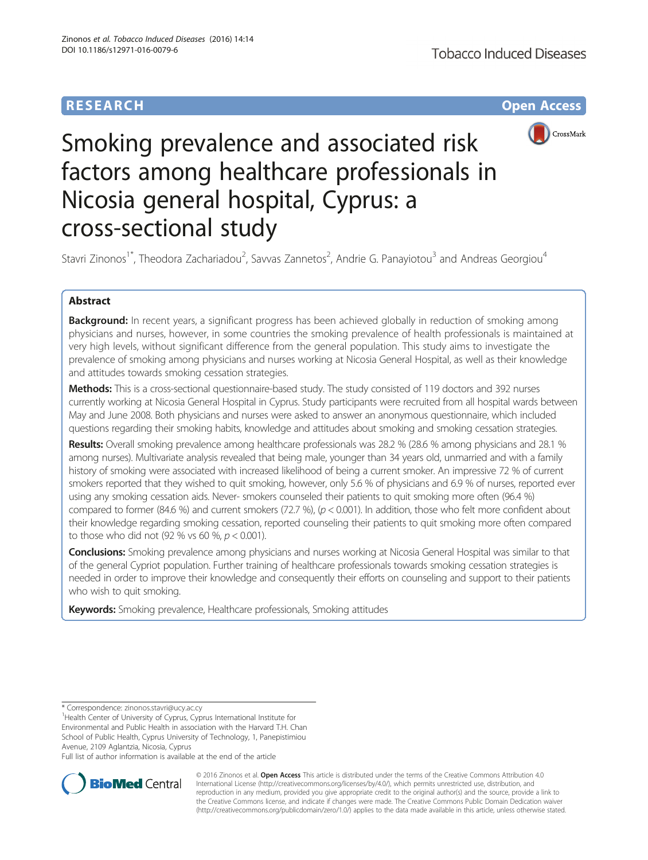# **RESEARCH CHE Open Access**



# Smoking prevalence and associated risk factors among healthcare professionals in Nicosia general hospital, Cyprus: a cross-sectional study

Stavri Zinonos<sup>1\*</sup>, Theodora Zachariadou<sup>2</sup>, Savvas Zannetos<sup>2</sup>, Andrie G. Panayiotou<sup>3</sup> and Andreas Georgiou<sup>4</sup>

# Abstract

Background: In recent years, a significant progress has been achieved globally in reduction of smoking among physicians and nurses, however, in some countries the smoking prevalence of health professionals is maintained at very high levels, without significant difference from the general population. This study aims to investigate the prevalence of smoking among physicians and nurses working at Nicosia General Hospital, as well as their knowledge and attitudes towards smoking cessation strategies.

Methods: This is a cross-sectional questionnaire-based study. The study consisted of 119 doctors and 392 nurses currently working at Nicosia General Hospital in Cyprus. Study participants were recruited from all hospital wards between May and June 2008. Both physicians and nurses were asked to answer an anonymous questionnaire, which included questions regarding their smoking habits, knowledge and attitudes about smoking and smoking cessation strategies.

Results: Overall smoking prevalence among healthcare professionals was 28.2 % (28.6 % among physicians and 28.1 % among nurses). Multivariate analysis revealed that being male, younger than 34 years old, unmarried and with a family history of smoking were associated with increased likelihood of being a current smoker. An impressive 72 % of current smokers reported that they wished to quit smoking, however, only 5.6 % of physicians and 6.9 % of nurses, reported ever using any smoking cessation aids. Never- smokers counseled their patients to quit smoking more often (96.4 %) compared to former (84.6 %) and current smokers (72.7 %), ( $p < 0.001$ ). In addition, those who felt more confident about their knowledge regarding smoking cessation, reported counseling their patients to quit smoking more often compared to those who did not (92 % vs 60 %,  $p < 0.001$ ).

**Conclusions:** Smoking prevalence among physicians and nurses working at Nicosia General Hospital was similar to that of the general Cypriot population. Further training of healthcare professionals towards smoking cessation strategies is needed in order to improve their knowledge and consequently their efforts on counseling and support to their patients who wish to quit smoking.

Keywords: Smoking prevalence, Healthcare professionals, Smoking attitudes

<sup>1</sup> Health Center of University of Cyprus, Cyprus International Institute for Environmental and Public Health in association with the Harvard T.H. Chan School of Public Health, Cyprus University of Technology, 1, Panepistimiou Avenue, 2109 Aglantzia, Nicosia, Cyprus

Full list of author information is available at the end of the article



© 2016 Zinonos et al. Open Access This article is distributed under the terms of the Creative Commons Attribution 4.0 International License [\(http://creativecommons.org/licenses/by/4.0/](http://creativecommons.org/licenses/by/4.0/)), which permits unrestricted use, distribution, and reproduction in any medium, provided you give appropriate credit to the original author(s) and the source, provide a link to the Creative Commons license, and indicate if changes were made. The Creative Commons Public Domain Dedication waiver [\(http://creativecommons.org/publicdomain/zero/1.0/](http://creativecommons.org/publicdomain/zero/1.0/)) applies to the data made available in this article, unless otherwise stated.

<sup>\*</sup> Correspondence: [zinonos.stavri@ucy.ac.cy](mailto:zinonos.stavri@ucy.ac.cy) <sup>1</sup>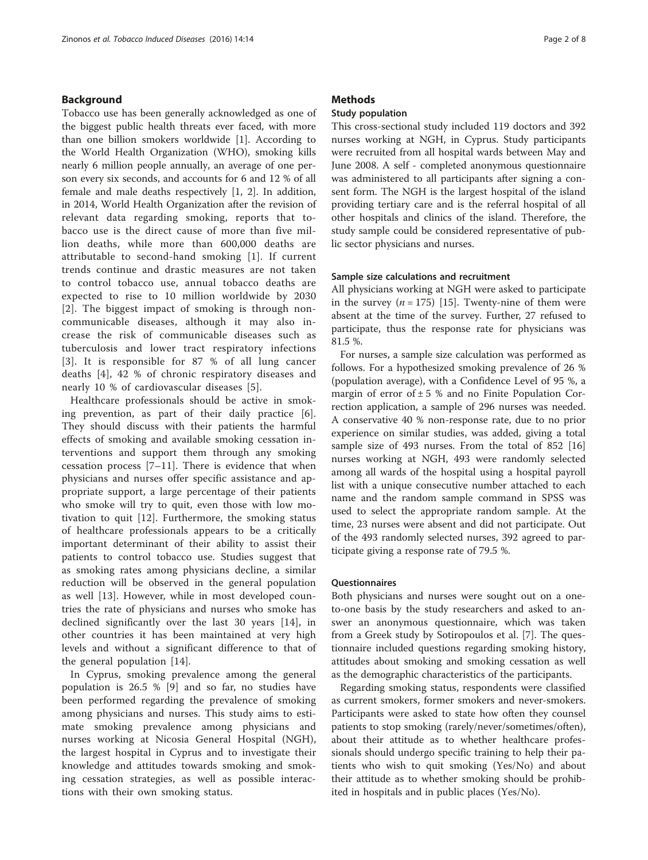## Background

Tobacco use has been generally acknowledged as one of the biggest public health threats ever faced, with more than one billion smokers worldwide [[1\]](#page-6-0). According to the World Health Organization (WHO), smoking kills nearly 6 million people annually, an average of one person every six seconds, and accounts for 6 and 12 % of all female and male deaths respectively [\[1, 2](#page-6-0)]. In addition, in 2014, World Health Organization after the revision of relevant data regarding smoking, reports that tobacco use is the direct cause of more than five million deaths, while more than 600,000 deaths are attributable to second-hand smoking [[1\]](#page-6-0). If current trends continue and drastic measures are not taken to control tobacco use, annual tobacco deaths are expected to rise to 10 million worldwide by 2030 [[2](#page-6-0)]. The biggest impact of smoking is through noncommunicable diseases, although it may also increase the risk of communicable diseases such as tuberculosis and lower tract respiratory infections [[3](#page-6-0)]. It is responsible for 87 % of all lung cancer deaths [\[4](#page-6-0)], 42 % of chronic respiratory diseases and nearly 10 % of cardiovascular diseases [\[5](#page-6-0)].

Healthcare professionals should be active in smoking prevention, as part of their daily practice [\[6](#page-6-0)]. They should discuss with their patients the harmful effects of smoking and available smoking cessation interventions and support them through any smoking cessation process [\[7](#page-6-0)–[11](#page-6-0)]. There is evidence that when physicians and nurses offer specific assistance and appropriate support, a large percentage of their patients who smoke will try to quit, even those with low motivation to quit [[12\]](#page-6-0). Furthermore, the smoking status of healthcare professionals appears to be a critically important determinant of their ability to assist their patients to control tobacco use. Studies suggest that as smoking rates among physicians decline, a similar reduction will be observed in the general population as well [[13\]](#page-6-0). However, while in most developed countries the rate of physicians and nurses who smoke has declined significantly over the last 30 years [\[14](#page-6-0)], in other countries it has been maintained at very high levels and without a significant difference to that of the general population [[14](#page-6-0)].

In Cyprus, smoking prevalence among the general population is 26.5 % [[9](#page-6-0)] and so far, no studies have been performed regarding the prevalence of smoking among physicians and nurses. This study aims to estimate smoking prevalence among physicians and nurses working at Nicosia General Hospital (NGH), the largest hospital in Cyprus and to investigate their knowledge and attitudes towards smoking and smoking cessation strategies, as well as possible interactions with their own smoking status.

## **Methods**

## Study population

This cross-sectional study included 119 doctors and 392 nurses working at NGH, in Cyprus. Study participants were recruited from all hospital wards between May and June 2008. A self - completed anonymous questionnaire was administered to all participants after signing a consent form. The NGH is the largest hospital of the island providing tertiary care and is the referral hospital of all other hospitals and clinics of the island. Therefore, the study sample could be considered representative of public sector physicians and nurses.

## Sample size calculations and recruitment

All physicians working at NGH were asked to participate in the survey ( $n = 175$ ) [\[15\]](#page-6-0). Twenty-nine of them were absent at the time of the survey. Further, 27 refused to participate, thus the response rate for physicians was 81.5 %.

For nurses, a sample size calculation was performed as follows. For a hypothesized smoking prevalence of 26 % (population average), with a Confidence Level of 95 %, a margin of error of  $\pm$  5 % and no Finite Population Correction application, a sample of 296 nurses was needed. A conservative 40 % non-response rate, due to no prior experience on similar studies, was added, giving a total sample size of 493 nurses. From the total of 852 [[16](#page-6-0)] nurses working at NGH, 493 were randomly selected among all wards of the hospital using a hospital payroll list with a unique consecutive number attached to each name and the random sample command in SPSS was used to select the appropriate random sample. At the time, 23 nurses were absent and did not participate. Out of the 493 randomly selected nurses, 392 agreed to participate giving a response rate of 79.5 %.

## **Ouestionnaires**

Both physicians and nurses were sought out on a oneto-one basis by the study researchers and asked to answer an anonymous questionnaire, which was taken from a Greek study by Sotiropoulos et al. [\[7](#page-6-0)]. The questionnaire included questions regarding smoking history, attitudes about smoking and smoking cessation as well as the demographic characteristics of the participants.

Regarding smoking status, respondents were classified as current smokers, former smokers and never-smokers. Participants were asked to state how often they counsel patients to stop smoking (rarely/never/sometimes/often), about their attitude as to whether healthcare professionals should undergo specific training to help their patients who wish to quit smoking (Yes/No) and about their attitude as to whether smoking should be prohibited in hospitals and in public places (Yes/No).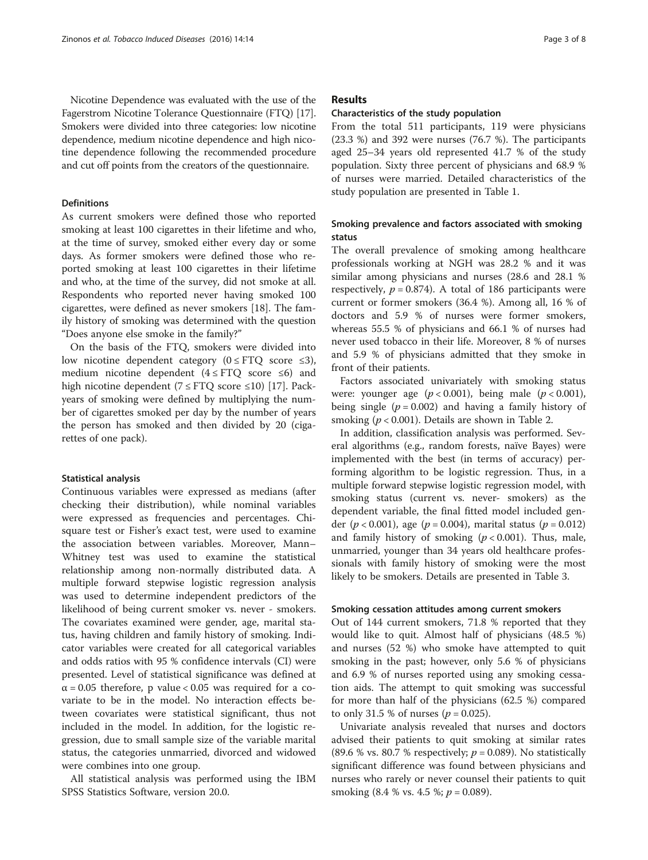## Definitions

As current smokers were defined those who reported smoking at least 100 cigarettes in their lifetime and who, at the time of survey, smoked either every day or some days. Αs former smokers were defined those who reported smoking at least 100 cigarettes in their lifetime and who, at the time of the survey, did not smoke at all. Respondents who reported never having smoked 100 cigarettes, were defined as never smokers [[18\]](#page-7-0). The family history of smoking was determined with the question "Does anyone else smoke in the family?"

On the basis of the FTQ, smokers were divided into low nicotine dependent category  $(0 \leq FTQ \text{ score } \leq 3)$ , medium nicotine dependent ( $4 \leq$  FTQ score  $\leq$ 6) and high nicotine dependent ( $7 \leq$  FTQ score  $\leq$ 10) [[17](#page-6-0)]. Packyears of smoking were defined by multiplying the number of cigarettes smoked per day by the number of years the person has smoked and then divided by 20 (cigarettes of one pack).

## Statistical analysis

Continuous variables were expressed as medians (after checking their distribution), while nominal variables were expressed as frequencies and percentages. Chisquare test or Fisher's exact test, were used to examine the association between variables. Moreover, Mann– Whitney test was used to examine the statistical relationship among non-normally distributed data. A multiple forward stepwise logistic regression analysis was used to determine independent predictors of the likelihood of being current smoker vs. never - smokers. The covariates examined were gender, age, marital status, having children and family history of smoking. Indicator variables were created for all categorical variables and odds ratios with 95 % confidence intervals (CI) were presented. Level of statistical significance was defined at  $\alpha$  = 0.05 therefore, p value < 0.05 was required for a covariate to be in the model. No interaction effects between covariates were statistical significant, thus not included in the model. In addition, for the logistic regression, due to small sample size of the variable marital status, the categories unmarried, divorced and widowed were combines into one group.

All statistical analysis was performed using the IBM SPSS Statistics Software, version 20.0.

## Results

## Characteristics of the study population

From the total 511 participants, 119 were physicians (23.3 %) and 392 were nurses (76.7 %). The participants aged 25–34 years old represented 41.7 % of the study population. Sixty three percent of physicians and 68.9 % of nurses were married. Detailed characteristics of the study population are presented in Table [1](#page-3-0).

# Smoking prevalence and factors associated with smoking status

The overall prevalence of smoking among healthcare professionals working at NGH was 28.2 % and it was similar among physicians and nurses (28.6 and 28.1 % respectively,  $p = 0.874$ . A total of 186 participants were current or former smokers (36.4 %). Among all, 16 % of doctors and 5.9 % of nurses were former smokers, whereas 55.5 % of physicians and 66.1 % of nurses had never used tobacco in their life. Moreover, 8 % of nurses and 5.9 % of physicians admitted that they smoke in front of their patients.

Factors associated univariately with smoking status were: younger age  $(p < 0.001)$ , being male  $(p < 0.001)$ , being single ( $p = 0.002$ ) and having a family history of smoking ( $p < 0.001$ ). Details are shown in Table [2](#page-3-0).

In addition, classification analysis was performed. Several algorithms (e.g., random forests, naïve Bayes) were implemented with the best (in terms of accuracy) performing algorithm to be logistic regression. Thus, in a multiple forward stepwise logistic regression model, with smoking status (current vs. never- smokers) as the dependent variable, the final fitted model included gender ( $p < 0.001$ ), age ( $p = 0.004$ ), marital status ( $p = 0.012$ ) and family history of smoking  $(p < 0.001)$ . Thus, male, unmarried, younger than 34 years old healthcare professionals with family history of smoking were the most likely to be smokers. Details are presented in Table [3](#page-4-0).

## Smoking cessation attitudes among current smokers

Out of 144 current smokers, 71.8 % reported that they would like to quit. Almost half of physicians (48.5 %) and nurses (52 %) who smoke have attempted to quit smoking in the past; however, only 5.6 % of physicians and 6.9 % of nurses reported using any smoking cessation aids. The attempt to quit smoking was successful for more than half of the physicians (62.5 %) compared to only 31.5 % of nurses ( $p = 0.025$ ).

Univariate analysis revealed that nurses and doctors advised their patients to quit smoking at similar rates (89.6 % vs. 80.7 % respectively;  $p = 0.089$ ). No statistically significant difference was found between physicians and nurses who rarely or never counsel their patients to quit smoking  $(8.4 %$  vs.  $4.5 %$ ;  $p = 0.089$ ).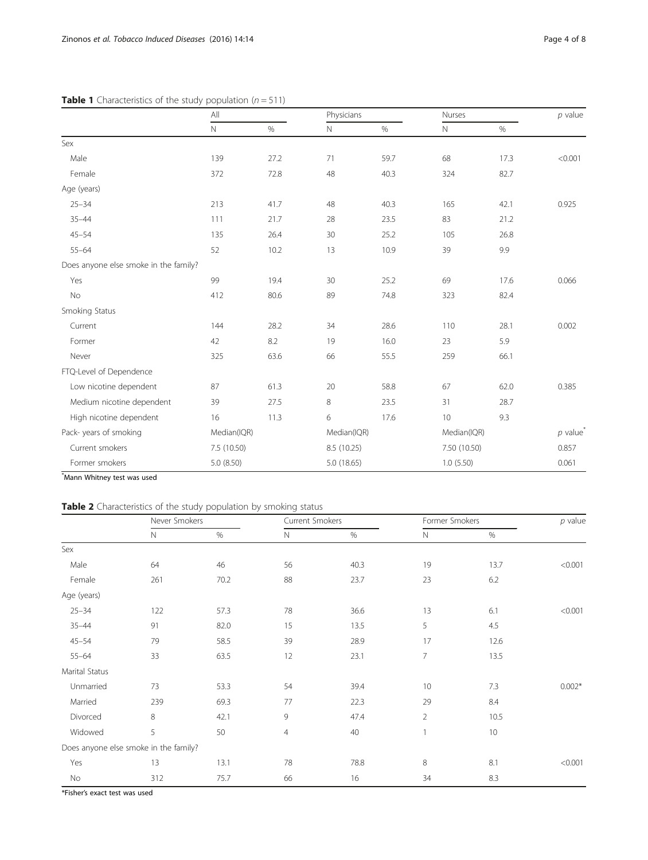|                                       | All         |             | Physicians  |             | Nurses       |             | $p$ value |
|---------------------------------------|-------------|-------------|-------------|-------------|--------------|-------------|-----------|
|                                       | $\mathbb N$ | $\%$        | Ν           | $\%$        | Ν            | $\%$        |           |
| Sex                                   |             |             |             |             |              |             |           |
| Male                                  | 139         | 27.2        | 71          | 59.7        | 68           | 17.3        | < 0.001   |
| Female                                | 372         | 72.8        | 48          | 40.3        | 324          | 82.7        |           |
| Age (years)                           |             |             |             |             |              |             |           |
| $25 - 34$                             | 213         | 41.7        | 48          | 40.3        | 165          | 42.1        | 0.925     |
| $35 - 44$                             | 111         | 21.7        | 28          | 23.5        | 83           | 21.2        |           |
| $45 - 54$                             | 135         | 26.4        | 30          | 25.2        | 105          | 26.8        |           |
| $55 - 64$                             | 52          | 10.2        | 13          | 10.9        | 39           | 9.9         |           |
| Does anyone else smoke in the family? |             |             |             |             |              |             |           |
| Yes                                   | 99          | 19.4        | 30          | 25.2        | 69           | 17.6        | 0.066     |
| No                                    | 412         | 80.6        | 89          | 74.8        | 323          | 82.4        |           |
| Smoking Status                        |             |             |             |             |              |             |           |
| Current                               | 144         | 28.2        | 34          | 28.6        | 110          | 28.1        | 0.002     |
| Former                                | 42          | 8.2         | 19          | 16.0        | 23           | 5.9         |           |
| Never                                 | 325         | 63.6        | 66          | 55.5        | 259          | 66.1        |           |
| FTQ-Level of Dependence               |             |             |             |             |              |             |           |
| Low nicotine dependent                | 87          | 61.3        | 20          | 58.8        | 67           | 62.0        | 0.385     |
| Medium nicotine dependent             | 39          | 27.5        | 8           | 23.5        | 31           | 28.7        |           |
| High nicotine dependent               | 16          | 11.3        | 6           | 17.6        | 10           | 9.3         |           |
| Pack-years of smoking                 |             | Median(IQR) |             | Median(IQR) |              | Median(IQR) |           |
| Current smokers                       | 7.5 (10.50) |             | 8.5 (10.25) |             | 7.50 (10.50) |             | 0.857     |
| Former smokers                        | 5.0 (8.50)  |             | 5.0 (18.65) |             | 1.0(5.50)    |             | 0.061     |

# <span id="page-3-0"></span>**Table 1** Characteristics of the study population  $(n = 511)$

\* Mann Whitney test was used

# Table 2 Characteristics of the study population by smoking status

|                                       | Never Smokers |      | Current Smokers |      | Former Smokers |                 | $p$ value |
|---------------------------------------|---------------|------|-----------------|------|----------------|-----------------|-----------|
|                                       | $\mathsf{N}$  | $\%$ | Ν               | $\%$ | $\mathbb N$    | $\%$            |           |
| Sex                                   |               |      |                 |      |                |                 |           |
| Male                                  | 64            | 46   | 56              | 40.3 | 19             | 13.7            | < 0.001   |
| Female                                | 261           | 70.2 | 88              | 23.7 | 23             | 6.2             |           |
| Age (years)                           |               |      |                 |      |                |                 |           |
| $25 - 34$                             | 122           | 57.3 | 78              | 36.6 | 13             | 6.1             | < 0.001   |
| $35 - 44$                             | 91            | 82.0 | 15              | 13.5 | 5              | 4.5             |           |
| $45 - 54$                             | 79            | 58.5 | 39              | 28.9 | 17             | 12.6            |           |
| $55 - 64$                             | 33            | 63.5 | 12              | 23.1 | $\overline{7}$ | 13.5            |           |
| Marital Status                        |               |      |                 |      |                |                 |           |
| Unmarried                             | 73            | 53.3 | 54              | 39.4 | 10             | 7.3             | $0.002*$  |
| Married                               | 239           | 69.3 | 77              | 22.3 | 29             | 8.4             |           |
| Divorced                              | 8             | 42.1 | 9               | 47.4 | $\overline{2}$ | 10.5            |           |
| Widowed                               | 5             | 50   | $\overline{4}$  | 40   | $\mathbf{1}$   | 10 <sup>°</sup> |           |
| Does anyone else smoke in the family? |               |      |                 |      |                |                 |           |
| Yes                                   | 13            | 13.1 | 78              | 78.8 | 8              | 8.1             | < 0.001   |
| No                                    | 312           | 75.7 | 66              | 16   | 34             | 8.3             |           |

\*Fisher's exact test was used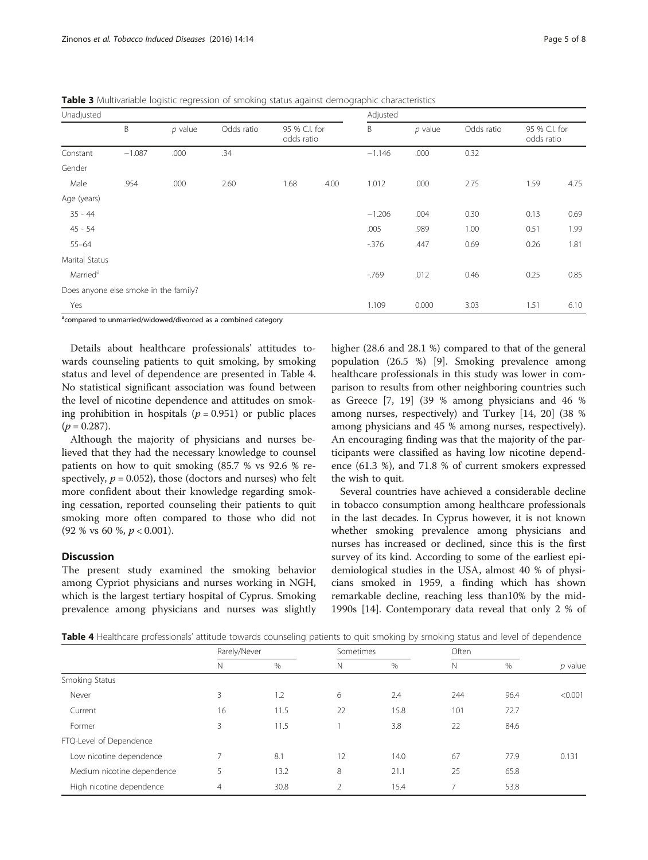<span id="page-4-0"></span>Table 3 Multivariable logistic regression of smoking status against demographic characteristics

| Unadjusted           |                                       |           |            |                             | Adjusted |          |           |            |      |                             |  |
|----------------------|---------------------------------------|-----------|------------|-----------------------------|----------|----------|-----------|------------|------|-----------------------------|--|
|                      | B                                     | $p$ value | Odds ratio | 95 % C.I. for<br>odds ratio |          | B        | $p$ value | Odds ratio |      | 95 % C.I. for<br>odds ratio |  |
| Constant             | $-1.087$                              | .000      | .34        |                             |          | $-1.146$ | .000      | 0.32       |      |                             |  |
| Gender               |                                       |           |            |                             |          |          |           |            |      |                             |  |
| Male                 | .954                                  | .000      | 2.60       | 1.68                        | 4.00     | 1.012    | .000      | 2.75       | 1.59 | 4.75                        |  |
| Age (years)          |                                       |           |            |                             |          |          |           |            |      |                             |  |
| $35 - 44$            |                                       |           |            |                             |          | $-1.206$ | .004      | 0.30       | 0.13 | 0.69                        |  |
| $45 - 54$            |                                       |           |            |                             |          | .005     | .989      | 1.00       | 0.51 | 1.99                        |  |
| $55 - 64$            |                                       |           |            |                             |          | $-376$   | .447      | 0.69       | 0.26 | 1.81                        |  |
| Marital Status       |                                       |           |            |                             |          |          |           |            |      |                             |  |
| Married <sup>a</sup> |                                       |           |            |                             |          | $-769$   | .012      | 0.46       | 0.25 | 0.85                        |  |
|                      | Does anyone else smoke in the family? |           |            |                             |          |          |           |            |      |                             |  |
| Yes                  |                                       |           |            |                             |          | 1.109    | 0.000     | 3.03       | 1.51 | 6.10                        |  |

<sup>a</sup>compared to unmarried/widowed/divorced as a combined category

Details about healthcare professionals' attitudes towards counseling patients to quit smoking, by smoking status and level of dependence are presented in Table 4. No statistical significant association was found between the level of nicotine dependence and attitudes on smoking prohibition in hospitals ( $p = 0.951$ ) or public places  $(p = 0.287)$ .

Although the majority of physicians and nurses believed that they had the necessary knowledge to counsel patients on how to quit smoking (85.7 % vs 92.6 % respectively,  $p = 0.052$ ), those (doctors and nurses) who felt more confident about their knowledge regarding smoking cessation, reported counseling their patients to quit smoking more often compared to those who did not  $(92\% \text{ vs } 60\% , p < 0.001).$ 

# **Discussion**

The present study examined the smoking behavior among Cypriot physicians and nurses working in NGH, which is the largest tertiary hospital of Cyprus. Smoking prevalence among physicians and nurses was slightly

higher (28.6 and 28.1 %) compared to that of the general population (26.5 %) [[9\]](#page-6-0). Smoking prevalence among healthcare professionals in this study was lower in comparison to results from other neighboring countries such as Greece [\[7](#page-6-0), [19](#page-7-0)] (39 % among physicians and 46 % among nurses, respectively) and Turkey [[14,](#page-6-0) [20\]](#page-7-0) (38 % among physicians and 45 % among nurses, respectively). An encouraging finding was that the majority of the participants were classified as having low nicotine dependence (61.3 %), and 71.8 % of current smokers expressed the wish to quit.

Several countries have achieved a considerable decline in tobacco consumption among healthcare professionals in the last decades. In Cyprus however, it is not known whether smoking prevalence among physicians and nurses has increased or declined, since this is the first survey of its kind. According to some of the earliest epidemiological studies in the USA, almost 40 % of physicians smoked in 1959, a finding which has shown remarkable decline, reaching less than10% by the mid-1990s [[14](#page-6-0)]. Contemporary data reveal that only 2 % of

Table 4 Healthcare professionals' attitude towards counseling patients to quit smoking by smoking status and level of dependence

|                            | Rarely/Never   |      | Sometimes      |      | Often          |      |           |
|----------------------------|----------------|------|----------------|------|----------------|------|-----------|
|                            | N              | %    | N              | %    | N              | %    | $p$ value |
| Smoking Status             |                |      |                |      |                |      |           |
| Never                      | 3              | 1.2  | 6              | 2.4  | 244            | 96.4 | < 0.001   |
| Current                    | 16             | 11.5 | 22             | 15.8 | 101            | 72.7 |           |
| Former                     | 3              | 11.5 |                | 3.8  | 22             | 84.6 |           |
| FTQ-Level of Dependence    |                |      |                |      |                |      |           |
| Low nicotine dependence    | $\overline{ }$ | 8.1  | 12             | 14.0 | 67             | 77.9 | 0.131     |
| Medium nicotine dependence | 5              | 13.2 | 8              | 21.1 | 25             | 65.8 |           |
| High nicotine dependence   | $\overline{4}$ | 30.8 | $\overline{2}$ | 15.4 | $\overline{ }$ | 53.8 |           |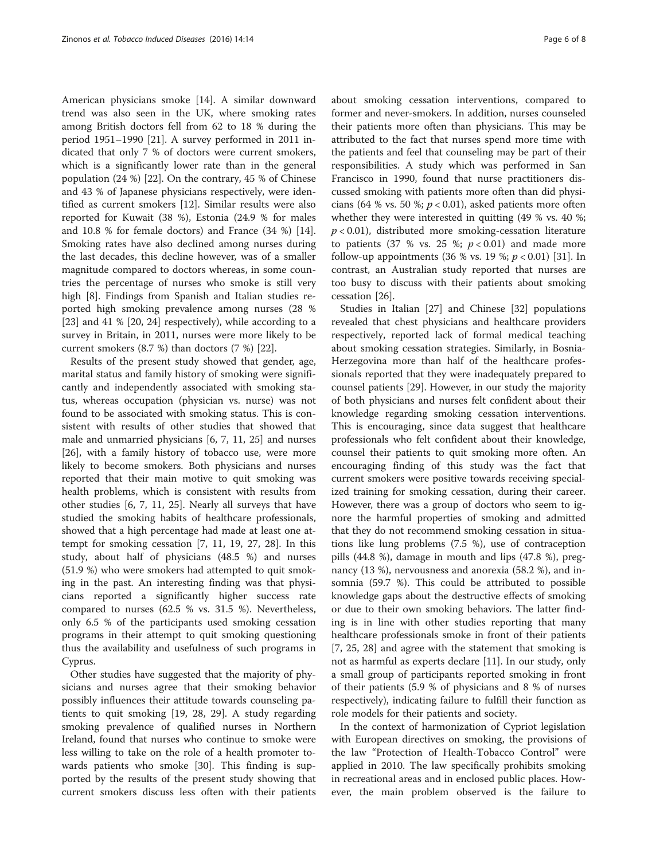American physicians smoke [[14\]](#page-6-0). A similar downward trend was also seen in the UK, where smoking rates among British doctors fell from 62 to 18 % during the period 1951–1990 [\[21](#page-7-0)]. A survey performed in 2011 indicated that only 7 % of doctors were current smokers, which is a significantly lower rate than in the general population (24 %) [[22](#page-7-0)]. On the contrary, 45 % of Chinese and 43 % of Japanese physicians respectively, were identified as current smokers [[12\]](#page-6-0). Similar results were also reported for Kuwait (38 %), Estonia (24.9 % for males and 10.8 % for female doctors) and France (34 %) [\[14](#page-6-0)]. Smoking rates have also declined among nurses during the last decades, this decline however, was of a smaller magnitude compared to doctors whereas, in some countries the percentage of nurses who smoke is still very high [\[8](#page-6-0)]. Findings from Spanish and Italian studies reported high smoking prevalence among nurses (28 % [[23\]](#page-7-0) and 41 % [[20, 24\]](#page-7-0) respectively), while according to a survey in Britain, in 2011, nurses were more likely to be current smokers (8.7 %) than doctors (7 %) [\[22](#page-7-0)].

Results of the present study showed that gender, age, marital status and family history of smoking were significantly and independently associated with smoking status, whereas occupation (physician vs. nurse) was not found to be associated with smoking status. This is consistent with results of other studies that showed that male and unmarried physicians [[6, 7](#page-6-0), [11,](#page-6-0) [25](#page-7-0)] and nurses [[26\]](#page-7-0), with a family history of tobacco use, were more likely to become smokers. Both physicians and nurses reported that their main motive to quit smoking was health problems, which is consistent with results from other studies [\[6](#page-6-0), [7](#page-6-0), [11](#page-6-0), [25\]](#page-7-0). Nearly all surveys that have studied the smoking habits of healthcare professionals, showed that a high percentage had made at least one attempt for smoking cessation [[7, 11,](#page-6-0) [19](#page-7-0), [27](#page-7-0), [28](#page-7-0)]. In this study, about half of physicians (48.5 %) and nurses (51.9 %) who were smokers had attempted to quit smoking in the past. An interesting finding was that physicians reported a significantly higher success rate compared to nurses (62.5 % vs. 31.5 %). Nevertheless, only 6.5 % of the participants used smoking cessation programs in their attempt to quit smoking questioning thus the availability and usefulness of such programs in Cyprus.

Other studies have suggested that the majority of physicians and nurses agree that their smoking behavior possibly influences their attitude towards counseling patients to quit smoking [\[19](#page-7-0), [28, 29\]](#page-7-0). A study regarding smoking prevalence of qualified nurses in Northern Ireland, found that nurses who continue to smoke were less willing to take on the role of a health promoter towards patients who smoke [[30\]](#page-7-0). This finding is supported by the results of the present study showing that current smokers discuss less often with their patients about smoking cessation interventions, compared to former and never-smokers. In addition, nurses counseled their patients more often than physicians. This may be attributed to the fact that nurses spend more time with the patients and feel that counseling may be part of their responsibilities. A study which was performed in San Francisco in 1990, found that nurse practitioners discussed smoking with patients more often than did physicians (64 % vs. 50 %;  $p < 0.01$ ), asked patients more often whether they were interested in quitting (49 % vs. 40 %;  $p < 0.01$ ), distributed more smoking-cessation literature to patients (37 % vs. 25 %;  $p < 0.01$ ) and made more follow-up appointments (36 % vs. 19 %;  $p < 0.01$ ) [[31](#page-7-0)]. In contrast, an Australian study reported that nurses are too busy to discuss with their patients about smoking cessation [[26\]](#page-7-0).

Studies in Italian [\[27\]](#page-7-0) and Chinese [[32\]](#page-7-0) populations revealed that chest physicians and healthcare providers respectively, reported lack of formal medical teaching about smoking cessation strategies. Similarly, in Bosnia-Herzegovina more than half of the healthcare professionals reported that they were inadequately prepared to counsel patients [[29\]](#page-7-0). However, in our study the majority of both physicians and nurses felt confident about their knowledge regarding smoking cessation interventions. This is encouraging, since data suggest that healthcare professionals who felt confident about their knowledge, counsel their patients to quit smoking more often. An encouraging finding of this study was the fact that current smokers were positive towards receiving specialized training for smoking cessation, during their career. However, there was a group of doctors who seem to ignore the harmful properties of smoking and admitted that they do not recommend smoking cessation in situations like lung problems (7.5 %), use of contraception pills (44.8 %), damage in mouth and lips (47.8 %), pregnancy (13 %), nervousness and anorexia (58.2 %), and insomnia (59.7 %). This could be attributed to possible knowledge gaps about the destructive effects of smoking or due to their own smoking behaviors. The latter finding is in line with other studies reporting that many healthcare professionals smoke in front of their patients [[7,](#page-6-0) [25](#page-7-0), [28\]](#page-7-0) and agree with the statement that smoking is not as harmful as experts declare [\[11\]](#page-6-0). In our study, only a small group of participants reported smoking in front of their patients (5.9 % of physicians and 8 % of nurses respectively), indicating failure to fulfill their function as role models for their patients and society.

In the context of harmonization of Cypriot legislation with European directives on smoking, the provisions of the law "Protection of Health-Tobacco Control" were applied in 2010. The law specifically prohibits smoking in recreational areas and in enclosed public places. However, the main problem observed is the failure to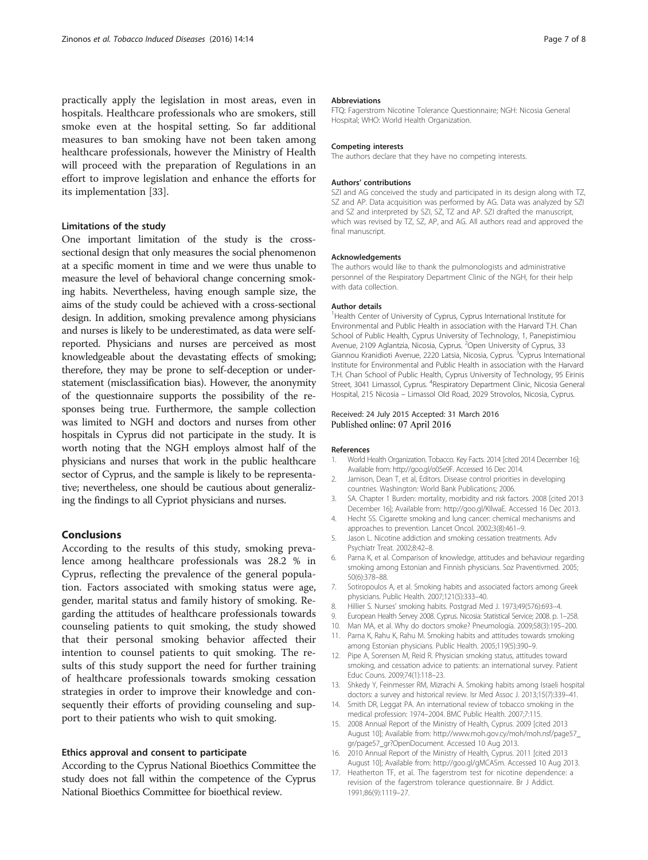<span id="page-6-0"></span>practically apply the legislation in most areas, even in hospitals. Healthcare professionals who are smokers, still smoke even at the hospital setting. So far additional measures to ban smoking have not been taken among healthcare professionals, however the Ministry of Health will proceed with the preparation of Regulations in an effort to improve legislation and enhance the efforts for its implementation [\[33\]](#page-7-0).

## Limitations of the study

One important limitation of the study is the crosssectional design that only measures the social phenomenon at a specific moment in time and we were thus unable to measure the level of behavioral change concerning smoking habits. Nevertheless, having enough sample size, the aims of the study could be achieved with a cross-sectional design. In addition, smoking prevalence among physicians and nurses is likely to be underestimated, as data were selfreported. Physicians and nurses are perceived as most knowledgeable about the devastating effects of smoking; therefore, they may be prone to self-deception or understatement (misclassification bias). However, the anonymity of the questionnaire supports the possibility of the responses being true. Furthermore, the sample collection was limited to NGH and doctors and nurses from other hospitals in Cyprus did not participate in the study. It is worth noting that the NGH employs almost half of the physicians and nurses that work in the public healthcare sector of Cyprus, and the sample is likely to be representative; nevertheless, one should be cautious about generalizing the findings to all Cypriot physicians and nurses.

## Conclusions

According to the results of this study, smoking prevalence among healthcare professionals was 28.2 % in Cyprus, reflecting the prevalence of the general population. Factors associated with smoking status were age, gender, marital status and family history of smoking. Regarding the attitudes of healthcare professionals towards counseling patients to quit smoking, the study showed that their personal smoking behavior affected their intention to counsel patients to quit smoking. The results of this study support the need for further training of healthcare professionals towards smoking cessation strategies in order to improve their knowledge and consequently their efforts of providing counseling and support to their patients who wish to quit smoking.

## Ethics approval and consent to participate

According to the Cyprus National Bioethics Committee the study does not fall within the competence of the Cyprus National Bioethics Committee for bioethical review.

#### Abbreviations

FTQ: Fagerstrom Nicotine Tolerance Questionnaire; NGH: Nicosia General Hospital; WHO: World Health Organization.

## Competing interests

The authors declare that they have no competing interests.

#### Authors' contributions

SZI and AG conceived the study and participated in its design along with TZ, SZ and AP. Data acquisition was performed by ΑG. Data was analyzed by SZI and SZ and interpreted by SZI, SZ, TZ and AP. SZI drafted the manuscript, which was revised by TZ, SZ, AP, and AG. All authors read and approved the final manuscript.

#### Acknowledgements

The authors would like to thank the pulmonologists and administrative personnel of the Respiratory Department Clinic of the NGH, for their help with data collection.

### Author details

<sup>1</sup>Health Center of University of Cyprus, Cyprus International Institute for Environmental and Public Health in association with the Harvard T.H. Chan School of Public Health, Cyprus University of Technology, 1, Panepistimiou Avenue, 2109 Aglantzia, Nicosia, Cyprus. <sup>2</sup>Open University of Cyprus, 33 Giannou Kranidioti Avenue, 2220 Latsia, Nicosia, Cyprus. <sup>3</sup>Cyprus International Institute for Environmental and Public Health in association with the Harvard T.H. Chan School of Public Health, Cyprus University of Technology, 95 Eirinis Street, 3041 Limassol, Cyprus. <sup>4</sup>Respiratory Department Clinic, Nicosia General Hospital, 215 Nicosia – Limassol Old Road, 2029 Strovolos, Nicosia, Cyprus.

## Received: 24 July 2015 Accepted: 31 March 2016 Published online: 07 April 2016

#### References

- 1. World Health Organization. Tobacco. Key Facts. 2014 [cited 2014 December 16]; Available from:<http://goo.gl/o05e9F>. Accessed 16 Dec 2014.
- 2. Jamison, Dean T, et al, Editors. Disease control priorities in developing countries. Washington: World Bank Publications; 2006.
- 3. SA. Chapter 1 Burden: mortality, morbidity and risk factors. 2008 [cited 2013 December 16]; Available from:<http://goo.gl/KIlwaE>. Accessed 16 Dec 2013.
- 4. Hecht SS. Cigarette smoking and lung cancer: chemical mechanisms and approaches to prevention. Lancet Oncol. 2002;3(8):461–9.
- 5. Jason L. Nicotine addiction and smoking cessation treatments. Adv Psychiatr Treat. 2002;8:42–8.
- 6. Parna K, et al. Comparison of knowledge, attitudes and behaviour regarding smoking among Estonian and Finnish physicians. Soz Praventivmed. 2005; 50(6):378–88.
- 7. Sotiropoulos A, et al. Smoking habits and associated factors among Greek physicians. Public Health. 2007;121(5):333–40.
- 8. Hillier S. Nurses' smoking habits. Postgrad Med J. 1973;49(576):693–4.
- 9. European Health Servey 2008. Cyprus. Nicosia: Statistical Service; 2008. p. 1–258.
- 10. Man MA, et al. Why do doctors smoke? Pneumologia. 2009;58(3):195–200.
- 11. Parna K, Rahu K, Rahu M. Smoking habits and attitudes towards smoking among Estonian physicians. Public Health. 2005;119(5):390–9.
- 12. Pipe A, Sorensen M, Reid R. Physician smoking status, attitudes toward smoking, and cessation advice to patients: an international survey. Patient Educ Couns. 2009;74(1):118–23.
- 13. Shkedy Y, Feinmesser RM, Mizrachi A. Smoking habits among Israeli hospital doctors: a survey and historical review. Isr Med Assoc J. 2013;15(7):339–41.
- 14. Smith DR, Leggat PA. An international review of tobacco smoking in the medical profession: 1974–2004. BMC Public Health. 2007;7:115.
- 15. 2008 Annual Report of the Ministry of Health, Cyprus. 2009 [cited 2013 August 10]; Available from: [http://www.moh.gov.cy/moh/moh.nsf/page57\\_](http://www.moh.gov.cy/moh/moh.nsf/page57_gr/page57_gr?OpenDocument) [gr/page57\\_gr?OpenDocument.](http://www.moh.gov.cy/moh/moh.nsf/page57_gr/page57_gr?OpenDocument) Accessed 10 Aug 2013.
- 16. 2010 Annual Report of the Ministry of Health, Cyprus. 2011 [cited 2013 August 10]; Available from:<http://goo.gl/gMCASm>. Accessed 10 Aug 2013.
- 17. Heatherton TF, et al. The fagerstrom test for nicotine dependence: a revision of the fagerstrom tolerance questionnaire. Br J Addict. 1991;86(9):1119–27.